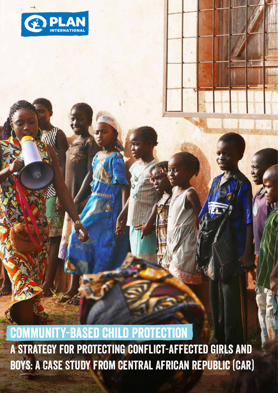

# Community-based child protection

A strategy for Protecting Conflict-Affected girls and boys: A Case Study from Central African Republic (CAR)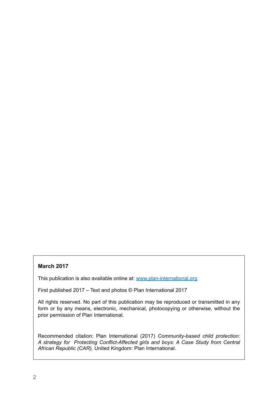#### **March 2017**

This publication is also available online at: www.plan-international.org

First published 2017 – Text and photos © Plan International 2017

All rights reserved. No part of this publication may be reproduced or transmitted in any form or by any means, electronic, mechanical, photocopying or otherwise, without the prior permission of Plan International.

Recommended citation: Plan International (2017) *Community-based child protection: A strategy for Protecting Conflict-Affected girls and boys: A Case Study from Central African Republic (CAR),* United Kingdom: Plan International.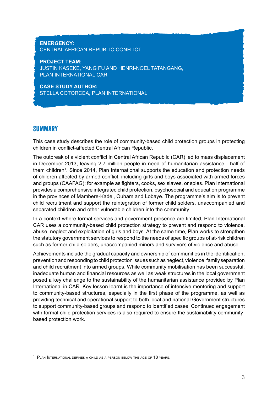#### **EMERGENCY:**  CENTRAL AFRICAN REPUBLIC CONFLICT

**PROJECT TEAM:**  JUSTIN KASEKE, YANG FU AND HENRI-NOEL TATANGANG, PLAN INTERNATIONAL CAR

**CASE STUDY AUTHOR:**  STELLA COTORCEA, PLAN INTERNATIONAL

# **SUMMARY**

This case study describes the role of community-based child protection groups in protecting children in conflict-affected Central African Republic.

The outbreak of a violent conflict in Central African Republic (CAR) led to mass displacement in December 2013, leaving 2.7 million people in need of humanitarian assistance - half of them children<sup>1</sup>. Since 2014, Plan International supports the education and protection needs of children affected by armed conflict, including girls and boys associated with armed forces and groups (CAAFAG): for example as fighters, cooks, sex slaves, or spies. Plan International provides a comprehensive integrated child protection, psychosocial and education programme in the provinces of Mambere-Kadei, Ouham and Lobaye. The programme's aim is to prevent child recruitment and support the reintegration of former child solders, unaccompanied and separated children and other vulnerable children into the community.

In a context where formal services and government presence are limited, Plan International CAR uses a community-based child protection strategy to prevent and respond to violence, abuse, neglect and exploitation of girls and boys. At the same time, Plan works to strengthen the statutory government services to respond to the needs of specific groups of at-risk children such as former child solders, unaccompanied minors and survivors of violence and abuse.

Achievements include the gradual capacity and ownership of communities in the identification, prevention and responding to child protection issues such as neglect, violence, family separation and child recruitment into armed groups. While community mobilisation has been successful, inadequate human and financial resources as well as weak structures in the local government posed a key challenge to the sustainability of the humanitarian assistance provided by Plan International in CAR. Key lesson learnt is the importance of intensive mentoring and support to community-based structures, especially in the first phase of the programme, as well as providing technical and operational support to both local and national Government structures to support community-based groups and respond to identified cases. Continued engagement with formal child protection services is also required to ensure the sustainability communitybased protection work.

<sup>&</sup>lt;sup>1</sup> PLAN INTERNATIONAL DEFINES A CHILD AS A PERSON BELOW THE AGE OF 18 YEARS.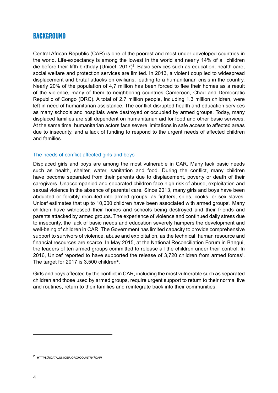# **BACKGROUND**

Central African Republic (CAR) is one of the poorest and most under developed countries in the world. Life-expectancy is among the lowest in the world and nearly 14% of all children die before their fifth birthday (Unicef, 2017)<sup>2</sup>. Basic services such as education, health care, social welfare and protection services are limited. In 2013, a violent coup led to widespread displacement and brutal attacks on civilians, leading to a humanitarian crisis in the country. Nearly 20% of the population of 4,7 million has been forced to flee their homes as a result of the violence, many of them to neighboring countries Cameroon, Chad and Democratic Republic of Congo (DRC). A total of 2.7 million people, including 1.3 million children, were left in need of humanitarian assistance. The conflict disrupted health and education services as many schools and hospitals were destroyed or occupied by armed groups. Today, many displaced families are still dependent on humanitarian aid for food and other basic services. At the same time, humanitarian actors face severe limitations in safe access to affected areas due to insecurity, and a lack of funding to respond to the urgent needs of affected children and families.

#### The needs of conflict-affected girls and boys

Displaced girls and boys are among the most vulnerable in CAR. Many lack basic needs such as health, shelter, water, sanitation and food. During the conflict, many children have become separated from their parents due to displacement, poverty or death of their caregivers. Unaccompanied and separated children face high risk of abuse, exploitation and sexual violence in the absence of parental care. Since 2013, many girls and boys have been abducted or forcibly recruited into armed groups, as fighters, spies, cooks, or sex slaves. Unicef estimates that up to 10,000 children have been associated with armed groups<sup>i</sup>. Many children have witnessed their homes and schools being destroyed and their friends and parents attacked by armed groups. The experience of violence and continued daily stress due to insecurity, the lack of basic needs and education severely hampers the development and well-being of children in CAR. The Government has limited capacity to provide comprehensive support to survivors of violence, abuse and exploitation, as the technical, human resource and financial resources are scarce. In May 2015, at the National Reconciliation Forum in Bangui, the leaders of ten armed groups committed to release all the children under their control. In 2016, Unicef reported to have supported the release of 3,720 children from armed forces<sup>ii</sup>. The target for 2017 is  $3,500$  children<sup>iii</sup>.

Girls and boys affected by the conflict in CAR, including the most vulnerable such as separated children and those used by armed groups, require urgent support to return to their normal live and routines, return to their families and reintegrate back into their communities.

<sup>2</sup> https://data.unicef.org/country/caf/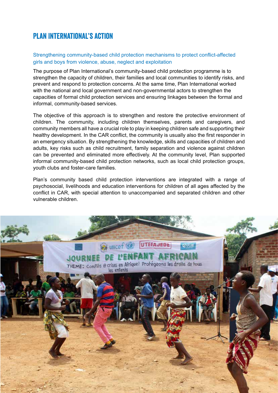# Plan International's Action

#### Strengthening community-based child protection mechanisms to protect conflict-affected girls and boys from violence, abuse, neglect and exploitation

The purpose of Plan International's community-based child protection programme is to strengthen the capacity of children, their families and local communities to identify risks, and prevent and respond to protection concerns. At the same time, Plan International worked with the national and local government and non-governmental actors to strengthen the capacities of formal child protection services and ensuring linkages between the formal and informal, community-based services.

The objective of this approach is to strengthen and restore the protective environment of children. The community, including children themselves, parents and caregivers, and community members all have a crucial role to play in keeping children safe and supporting their healthy development. In the CAR conflict, the community is usually also the first responder in an emergency situation. By strengthening the knowledge, skills and capacities of children and adults, key risks such as child recruitment, family separation and violence against children can be prevented and eliminated more effectively. At the community level, Plan supported informal community-based child protection networks, such as local child protection groups, youth clubs and foster-care families.

Plan's community based child protection interventions are integrated with a range of psychosocial, livelihoods and education interventions for children of all ages affected by the conflict in CAR, with special attention to unaccompanied and separated children and other vulnerable children.

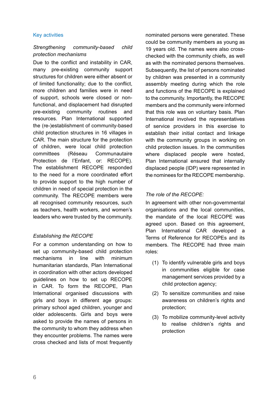#### Key activities

#### *Strengthening community-based child protection mechanisms*

Due to the conflict and instability in CAR, many pre-existing community support structures for children were either absent or of limited functionality; due to the conflict, more children and families were in need of support, schools were closed or nonfunctional, and displacement had disrupted pre-existing community routines and resources. Plan International supported the (re-)establishment of community-based child protection structures in 16 villages in CAR. The main structure for the protection of children, were local child protection committees (Réseau Communautaire Protection de l'Enfant, or: RECOPE). The establishment RECOPE responded to the need for a more coordinated effort to provide support to the high number of children in need of special protection in the community. The RECOPE members were all recognised community resources, such as teachers, health workers, and women's leaders who were trusted by the community.

#### *Establishing the RECOPE*

For a common understanding on how to set up community-based child protection mechanisms in line with minimum humanitarian standards, Plan International in coordination with other actors developed guidelines on how to set up RECOPE in CAR. To form the RECOPE, Plan International organised discussions with girls and boys in different age groups: primary school aged children, younger and older adolescents. Girls and boys were asked to provide the names of persons in the community to whom they address when they encounter problems. The names were cross checked and lists of most frequently nominated persons were generated. These could be community members as young as 19 years old. The names were also crosschecked with the community chiefs, as well as with the nominated persons themselves. Subsequently, the list of persons nominated by children was presented in a community assembly meeting during which the role and functions of the RECOPE is explained to the community. Importantly, the RECOPE members and the community were informed that this role was on voluntary basis. Plan International involved the representatives of service providers in this exercise to establish their initial contact and linkage with the community groups in working on child protection issues. In the communities where displaced people were hosted, Plan International ensured that internally displaced people (IDP) were represented in the nominees for the RECOPE membership.

## *The role of the RECOPE:*

In agreement with other non-governmental organisations and the local communities, the mandate of the local RECOPE was agreed upon. Based on this agreement, Plan International CAR developed a Terms of Reference for RECOPEs and its members. The RECOPE had three main roles:

- (1) To identify vulnerable girls and boys in communities eligible for case management services provided by a child protection agency;
- (2) To sensitize communities and raise awareness on children's rights and protection;
- (3) To mobilize community-level activity to realise children's rights and protection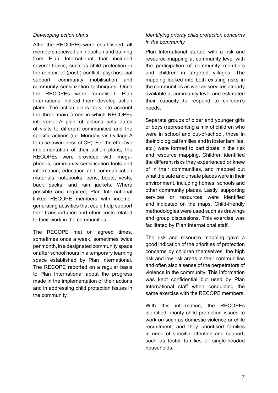#### *Developing action plans*

After the RECOPEs were established, all members received an induction and training from Plan International that included several topics, such as child protection in the context of (post-) conflict, psychosocial support, community mobilisation and community sensitization techniques. Once the RECOPEs were formalised, Plan International helped them develop action plans. The action plans took into account the three main areas in which RECOPEs intervene. A plan of actions sets dates of visits to different communities and the specific actions (i.e. Monday, visit village A to raise awareness of CP). For the effective implementation of their action plans, the RECOPEs were provided with megaphones, community sensitisation tools and information, education and communication materials, notebooks, pens, boots, vests, back packs, and rain jackets. Where possible and required, Plan International linked RECOPE members with incomegenerating activities that could help support their transportation and other costs related to their work in the communities.

The RECOPE met on agreed times, sometimes once a week, sometimes twice per month, in a designated community space or after school hours in a temporary learning space established by Plan International. The RECOPE reported on a regular basis to Plan International about the progress made in the implementation of their actions and in addressing child protection issues in the community.

#### *Identifying priority child protection concerns in the community*

Plan International started with a risk and resource mapping at community level with the participation of community members and children in targeted villages. The mapping looked into both existing risks in the communities as well as services already available at community level and estimated their capacity to respond to children's needs.

Separate groups of older and younger girls or boys (representing a mix of children who were in school and out-of-school, those in their biological families and in foster families, etc.) were formed to participate in the risk and resource mapping. Children identified the different risks they experienced or knew of in their communities, and mapped out what the safe and unsafe places were in their environment, including homes, schools and other community places. Lastly, supporting services or resources were identified and indicated on the maps. Child-friendly methodologies were used such as drawings and group discussions. This exercise was facilitated by Plan International staff.

The risk and resource mapping gave a good indication of the priorities of protection concerns by children themselves, the high risk and low risk areas in their communities and often also a sense of the perpetrators of violence in the community. This information was kept confidential but used by Plan International staff when conducting the same exercise with the RECOPE members.

With this information, the RECOPEs identified priority child protection issues to work on such as domestic violence or child recruitment, and they prioritised families in need of specific attention and support, such as foster families or single-headed households.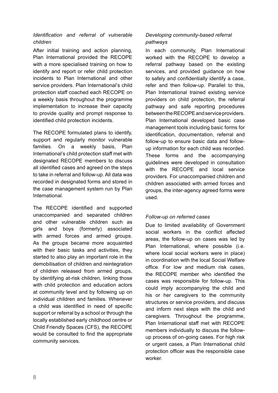#### *Identification and referral of vulnerable children*

After initial training and action planning, Plan International provided the RECOPE with a more specialised training on how to identify and report or refer child protection incidents to Plan International and other service providers. Plan International's child protection staff coached each RECOPE on a weekly basis throughout the programme implementation to increase their capacity to provide quality and prompt response to identified child protection incidents.

The RECOPE formulated plans to identify, support and regularly monitor vulnerable families. On a weekly basis, Plan International's child protection staff met with designated RECOPE members to discuss all identified cases and agreed on the steps to take in referral and follow-up. All data was recorded in designated forms and stored in the case management system run by Plan International.

The RECOPE identified and supported unaccompanied and separated children and other vulnerable children such as girls and boys (formerly) associated with armed forces and armed groups. As the groups became more acquainted with their basic tasks and activities, they started to also play an important role in the demobilisation of children and reintegration of children released from armed groups, by identifying at-risk children, linking those with child protection and education actors at community level and by following up on individual children and families. Whenever a child was identified in need of specific support or referral by a school or through the locally established early childhood centre or Child Friendly Spaces (CFS), the RECOPE would be consulted to find the appropriate community services.

#### *Developing community-based referral pathways*

In each community, Plan International worked with the RECOPE to develop a referral pathway based on the existing services, and provided guidance on how to safely and confidentially identify a case, refer and then follow-up. Parallel to this, Plan International trained existing service providers on child protection, the referral pathway and safe reporting procedures between the RECOPE and service providers. Plan International developed basic case management tools including basic forms for identification, documentation, referral and follow-up to ensure basic data and followup information for each child was recorded. These forms and the accompanying guidelines were developed in consultation with the RECOPE and local service providers. For unaccompanied children and children associated with armed forces and groups, the inter-agency agreed forms were used.

#### *Follow-up on referred cases*

Due to limited availability of Government social workers in the conflict affected areas, the follow-up on cases was led by Plan International, where possible (i.e. where local social workers were in place) in coordination with the local Social Welfare office. For low and medium risk cases, the RECOPE member who identified the cases was responsible for follow-up. This could imply accompanying the child and his or her caregivers to the community structures or service providers, and discuss and inform next steps with the child and caregivers. Throughout the programme, Plan International staff met with RECOPE members individually to discuss the followup process of on-going cases. For high risk or urgent cases, a Plan International child protection officer was the responsible case worker.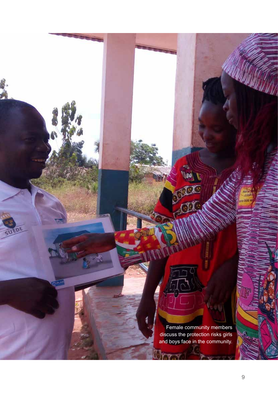Female community members discuss the protection risks girls and boys face in the community.

m.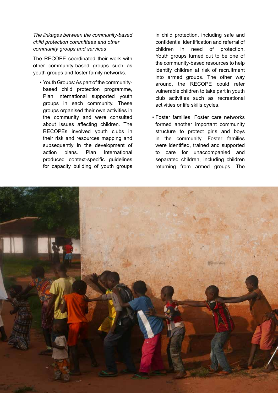#### *The linkages between the community-based child protection committees and other community groups and services*

The RECOPE coordinated their work with other community-based groups such as youth groups and foster family networks.

• Youth Groups: As part of the community based child protection programme, Plan International supported youth groups in each community. These groups organised their own activities in the community and were consulted about issues affecting children. The RECOPEs involved youth clubs in their risk and resources mapping and subsequently in the development of action plans. Plan International produced context-specific guidelines for capacity building of youth groups  in child protection, including safe and confidential identification and referral of children in need of protection. Youth groups turned out to be one of the community-based resources to help identify children at risk of recruitment into armed groups. The other way around, the RECOPE could refer vulnerable children to take part in youth club activities such as recreational activities or life skills cycles.

• Foster families: Foster care networks formed another important community structure to protect girls and boys in the community. Foster families were identified, trained and supported to care for unaccompanied and separated children, including children returning from armed groups. The

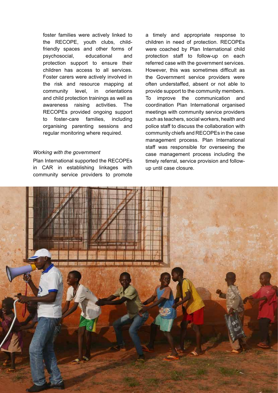foster families were actively linked to the RECOPE, youth clubs, child friendly spaces and other forms of psychosocial, educational and protection support to ensure their children has access to all services. Foster carers were actively involved in the risk and resource mapping at community level, in orientations and child protection trainings as well as awareness raising activities. The RECOPEs provided ongoing support to foster-care families, including organising parenting sessions and regular monitoring where required.

#### *Working with the government*

Plan International supported the RECOPEs in CAR in establishing linkages with community service providers to promote a timely and appropriate response to children in need of protection. RECOPEs were coached by Plan International child protection staff to follow-up on each referred case with the government services. However, this was sometimes difficult as the Government service providers were often understaffed, absent or not able to provide support to the community members. To improve the communication and coordination Plan International organised meetings with community service providers such as teachers, social workers, health and police staff to discuss the collaboration with community chiefs and RECOPEs in the case management process. Plan International staff was responsible for overseeing the case management process including the timely referral, service provision and followup until case closure.

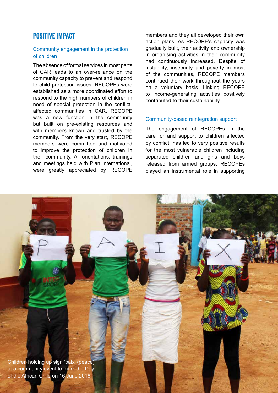# Positive Impact

#### Community engagement in the protection of children

The absence of formal services in most parts of CAR leads to an over-reliance on the community capacity to prevent and respond to child protection issues. RECOPEs were established as a more coordinated effort to respond to the high numbers of children in need of special protection in the conflictaffected communities in CAR. RECOPE was a new function in the community but built on pre-existing resources and with members known and trusted by the community. From the very start, RECOPE members were committed and motivated to improve the protection of children in their community. All orientations, trainings and meetings held with Plan International, were greatly appreciated by RECOPE members and they all developed their own action plans. As RECOPE's capacity was gradually built, their activity and ownership in organising activities in their community had continuously increased. Despite of instability, insecurity and poverty in most of the communities, RECOPE members continued their work throughout the years on a voluntary basis. Linking RECOPE to income-generating activities positively contributed to their sustainability.

#### Community-based reintegration support

The engagement of RECOPEs in the care for and support to children affected by conflict, has led to very positive results for the most vulnerable children including separated children and girls and boys released from armed groups. RECOPEs played an instrumental role in supporting

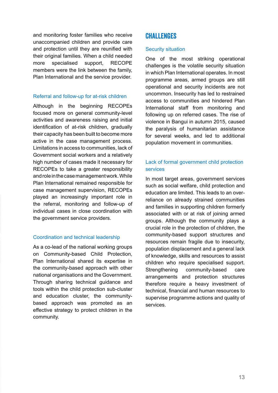and monitoring foster families who receive unaccompanied children and provide care and protection until they are reunified with their original families. When a child needed more specialised support, RECOPE members were the link between the family, Plan International and the service provider.

#### Referral and follow-up for at-risk children

Although in the beginning RECOPEs focused more on general community-level activities and awareness raising and initial identification of at-risk children, gradually their capacity has been built to become more active in the case management process. Limitations in access to communities, lack of Government social workers and a relatively high number of cases made it necessary for RECOPEs to take a greater responsibility and role in the case management work. While Plan International remained responsible for case management supervision, RECOPEs played an increasingly important role in the referral, monitoring and follow-up of individual cases in close coordination with the government service providers.

#### Coordination and technical leadership

As a co-lead of the national working groups on Community-based Child Protection, Plan International shared its expertise in the community-based approach with other national organisations and the Government. Through sharing technical guidance and tools within the child protection sub-cluster and education cluster, the communitybased approach was promoted as an effective strategy to protect children in the community.

# **CHALLENGES**

#### Security situation

One of the most striking operational challenges is the volatile security situation in which Plan International operates. In most programme areas, armed groups are still operational and security incidents are not uncommon. Insecurity has led to restrained access to communities and hindered Plan International staff from monitoring and following up on referred cases. The rise of violence in Bangui in autumn 2015, caused the paralysis of humanitarian assistance for several weeks, and led to additional population movement in communities.

## Lack of formal government child protection services

In most target areas, government services such as social welfare, child protection and education are limited. This leads to an overreliance on already strained communities and families in supporting children formerly associated with or at risk of joining armed groups. Although the community plays a crucial role in the protection of children, the community-based support structures and resources remain fragile due to insecurity, population displacement and a general lack of knowledge, skills and resources to assist children who require specialised support. Strengthening community-based care arrangements and protection structures therefore require a heavy investment of technical, financial and human resources to supervise programme actions and quality of services.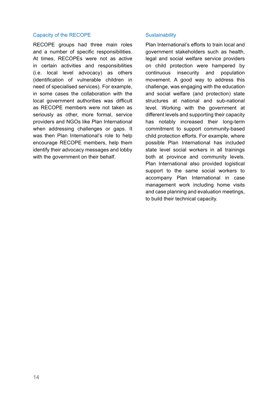#### Capacity of the RECOPE

RECOPE groups had three main roles and a number of specific responsibilities. At times, RECOPEs were not as active in certain activities and responsibilities (i.e. local level advocacy) as others (identification of vulnerable children in need of specialised services). For example, in some cases the collaboration with the local government authorities was difficult as RECOPE members were not taken as seriously as other, more formal, service providers and NGOs like Plan International when addressing challenges or gaps. It was then Plan International's role to help encourage RECOPE members, help them identify their advocacy messages and lobby with the government on their behalf.

#### **Sustainability**

Plan International's efforts to train local and government stakeholders such as health, legal and social welfare service providers on child protection were hampered by continuous insecurity and population movement. A good way to address this challenge, was engaging with the education and social welfare (and protection) state structures at national and sub-national level. Working with the government at different levels and supporting their capacity has notably increased their long-term commitment to support community-based child protection efforts. For example, where possible Plan International has included state level social workers in all trainings both at province and community levels. Plan International also provided logistical support to the same social workers to accompany Plan International in case management work including home visits and case planning and evaluation meetings, to build their technical capacity.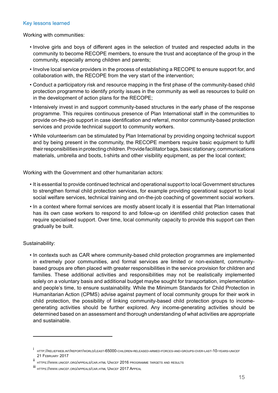#### Key lessons learned

Working with communities:

- Involve girls and boys of different ages in the selection of trusted and respected adults in the community to become RECOPE members, to ensure the trust and acceptance of the group in the community, especially among children and parents;
- Involve local service providers in the process of establishing a RECOPE to ensure support for, and collaboration with, the RECOPE from the very start of the intervention;
- Conduct a participatory risk and resource mapping in the first phase of the community-based child protection programme to identify priority issues in the community as well as resources to build on in the development of action plans for the RECOPE;
- Intensively invest in and support community-based structures in the early phase of the response programme. This requires continuous presence of Plan International staff in the communities to provide on-the-job support in case identification and referral, monitor community-based protection services and provide technical support to community workers.
- While volunteerism can be stimulated by Plan International by providing ongoing technical support and by being present in the community, the RECOPE members require basic equipment to fulfil their responsibilities in protecting children. Provide facilitator bags, basic stationary, communications materials, umbrella and boots, t-shirts and other visibility equipment, as per the local context;

Working with the Government and other humanitarian actors:

- It is essential to provide continued technical and operational support to local Government structures to strengthen formal child protection services, for example providing operational support to local social welfare services, technical training and on-the-job coaching of government social workers.
- In a context where formal services are mostly absent locally it is essential that Plan International has its own case workers to respond to and follow-up on identified child protection cases that require specialised support. Over time, local community capacity to provide this support can then gradually be built.

#### Sustainability:

• In contexts such as CAR where community-based child protection programmes are implemented in extremely poor communities, and formal services are limited or non-existent, community based groups are often placed with greater responsibilities in the service provision for children and families. These additional activities and responsibilities may not be realistically implemented solely on a voluntary basis and additional budget maybe sought for transportation, implementation and people's time, to ensure sustainability. While the Minimum Standards for Child Protection in Humanitarian Action (CPMS) advise against payment of local community groups for their work in child protection, the possibility of linking community-based child protection groups to income generating activities should be further explored. Any income-generating activities should be determined based on an assessment and thorough understanding of what activities are appropriate and sustainable.

<sup>i</sup> http://reliefweb.int/report/world/least-65000-children-released-armed-forces-and-groups-over-last-10-years-unicef 21 February 2017

ii https://www.unicef.org/appeals/car.html Unicef 2016 programme targets and results

iii https://www.unicef.org/appeals/car.html Unicef 2017 Appeal